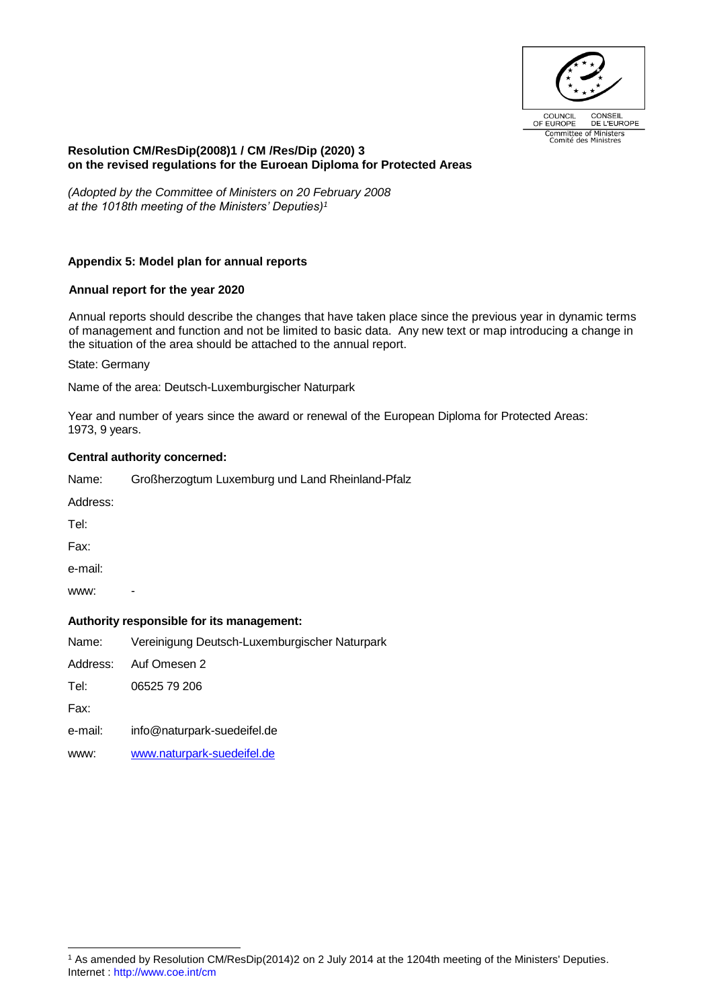

### **Resolution CM/ResDip(2008)1 / CM /Res/Dip (2020) 3 on the revised regulations for the Euroean Diploma for Protected Areas**

*(Adopted by the Committee of Ministers on 20 February 2008 at the 1018th meeting of the Ministers' Deputies)<sup>1</sup>*

# **Appendix 5: Model plan for annual reports**

## **Annual report for the year 2020**

Annual reports should describe the changes that have taken place since the previous year in dynamic terms of management and function and not be limited to basic data. Any new text or map introducing a change in the situation of the area should be attached to the annual report.

State: Germany

Name of the area: Deutsch-Luxemburgischer Naturpark

Year and number of years since the award or renewal of the European Diploma for Protected Areas: 1973, 9 years.

## **Central authority concerned:**

| Großherzogtum Luxemburg und Land Rheinland-Pfalz |
|--------------------------------------------------|
|                                                  |

Address:

Tel:

Fax:

e-mail:

www:

# **Authority responsible for its management:**

| Name: |  | Vereinigung Deutsch-Luxemburgischer Naturpark |
|-------|--|-----------------------------------------------|
|-------|--|-----------------------------------------------|

Address: Auf Omesen 2

Tel: 06525 79 206

Fax:

l

e-mail: info@naturpark-suedeifel.de

www: [www.naturpark-suedeifel.de](http://www.naturpark-suedeifel.de/)

Internet :<http://www.coe.int/cm> <sup>1</sup> As amended by Resolution CM/ResDip(2014)2 on 2 July 2014 at the 1204th meeting of the Ministers' Deputies.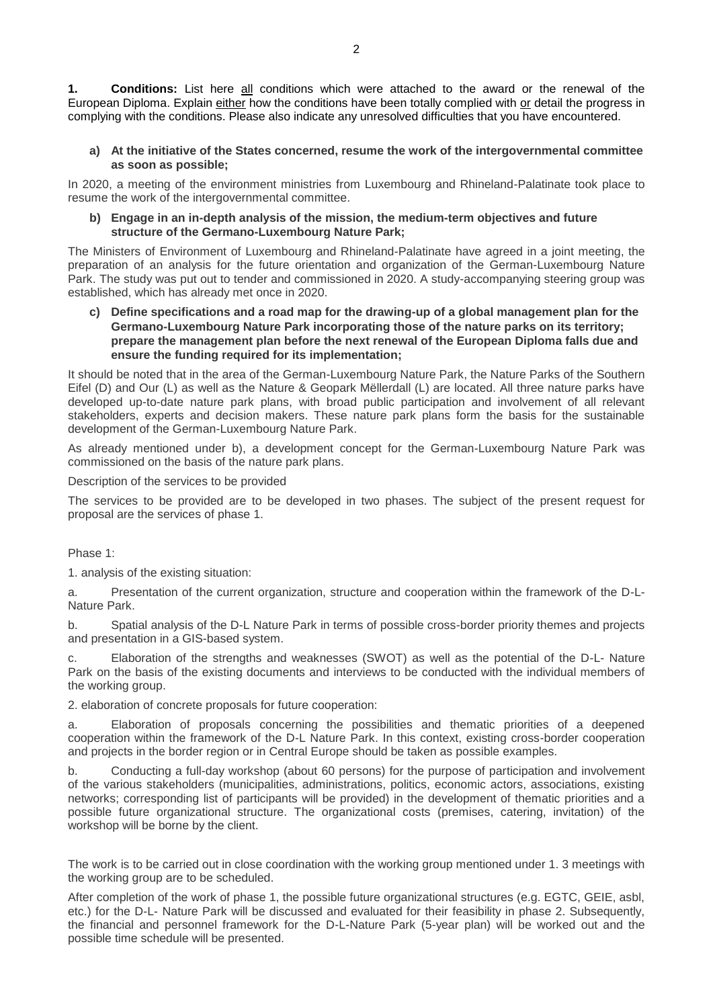**1. Conditions:** List here all conditions which were attached to the award or the renewal of the European Diploma. Explain either how the conditions have been totally complied with or detail the progress in complying with the conditions. Please also indicate any unresolved difficulties that you have encountered.

**a) At the initiative of the States concerned, resume the work of the intergovernmental committee as soon as possible;**

In 2020, a meeting of the environment ministries from Luxembourg and Rhineland-Palatinate took place to resume the work of the intergovernmental committee.

**b) Engage in an in-depth analysis of the mission, the medium-term objectives and future structure of the Germano-Luxembourg Nature Park;**

The Ministers of Environment of Luxembourg and Rhineland-Palatinate have agreed in a joint meeting, the preparation of an analysis for the future orientation and organization of the German-Luxembourg Nature Park. The study was put out to tender and commissioned in 2020. A study-accompanying steering group was established, which has already met once in 2020.

**c) Define specifications and a road map for the drawing-up of a global management plan for the Germano-Luxembourg Nature Park incorporating those of the nature parks on its territory; prepare the management plan before the next renewal of the European Diploma falls due and ensure the funding required for its implementation;**

It should be noted that in the area of the German-Luxembourg Nature Park, the Nature Parks of the Southern Eifel (D) and Our (L) as well as the Nature & Geopark Mëllerdall (L) are located. All three nature parks have developed up-to-date nature park plans, with broad public participation and involvement of all relevant stakeholders, experts and decision makers. These nature park plans form the basis for the sustainable development of the German-Luxembourg Nature Park.

As already mentioned under b), a development concept for the German-Luxembourg Nature Park was commissioned on the basis of the nature park plans.

Description of the services to be provided

The services to be provided are to be developed in two phases. The subject of the present request for proposal are the services of phase 1.

Phase 1:

1. analysis of the existing situation:

a. Presentation of the current organization, structure and cooperation within the framework of the D-L-Nature Park.

b. Spatial analysis of the D-L Nature Park in terms of possible cross-border priority themes and projects and presentation in a GIS-based system.

c. Elaboration of the strengths and weaknesses (SWOT) as well as the potential of the D-L- Nature Park on the basis of the existing documents and interviews to be conducted with the individual members of the working group.

2. elaboration of concrete proposals for future cooperation:

a. Elaboration of proposals concerning the possibilities and thematic priorities of a deepened cooperation within the framework of the D-L Nature Park. In this context, existing cross-border cooperation and projects in the border region or in Central Europe should be taken as possible examples.

b. Conducting a full-day workshop (about 60 persons) for the purpose of participation and involvement of the various stakeholders (municipalities, administrations, politics, economic actors, associations, existing networks; corresponding list of participants will be provided) in the development of thematic priorities and a possible future organizational structure. The organizational costs (premises, catering, invitation) of the workshop will be borne by the client.

The work is to be carried out in close coordination with the working group mentioned under 1. 3 meetings with the working group are to be scheduled.

After completion of the work of phase 1, the possible future organizational structures (e.g. EGTC, GEIE, asbl, etc.) for the D-L- Nature Park will be discussed and evaluated for their feasibility in phase 2. Subsequently, the financial and personnel framework for the D-L-Nature Park (5-year plan) will be worked out and the possible time schedule will be presented.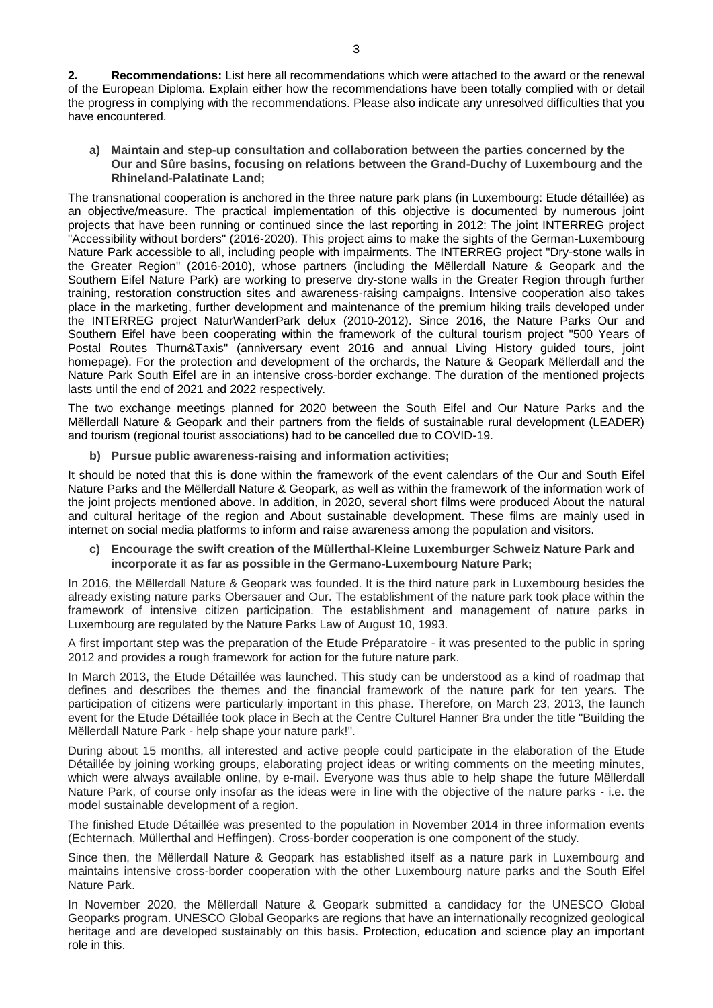**2. Recommendations:** List here all recommendations which were attached to the award or the renewal of the European Diploma. Explain either how the recommendations have been totally complied with or detail the progress in complying with the recommendations. Please also indicate any unresolved difficulties that you have encountered.

**a) Maintain and step-up consultation and collaboration between the parties concerned by the Our and Sûre basins, focusing on relations between the Grand-Duchy of Luxembourg and the Rhineland-Palatinate Land;**

The transnational cooperation is anchored in the three nature park plans (in Luxembourg: Etude détaillée) as an objective/measure. The practical implementation of this objective is documented by numerous joint projects that have been running or continued since the last reporting in 2012: The joint INTERREG project "Accessibility without borders" (2016-2020). This project aims to make the sights of the German-Luxembourg Nature Park accessible to all, including people with impairments. The INTERREG project "Dry-stone walls in the Greater Region" (2016-2010), whose partners (including the Mëllerdall Nature & Geopark and the Southern Eifel Nature Park) are working to preserve dry-stone walls in the Greater Region through further training, restoration construction sites and awareness-raising campaigns. Intensive cooperation also takes place in the marketing, further development and maintenance of the premium hiking trails developed under the INTERREG project NaturWanderPark delux (2010-2012). Since 2016, the Nature Parks Our and Southern Eifel have been cooperating within the framework of the cultural tourism project "500 Years of Postal Routes Thurn&Taxis" (anniversary event 2016 and annual Living History guided tours, joint homepage). For the protection and development of the orchards, the Nature & Geopark Mëllerdall and the Nature Park South Eifel are in an intensive cross-border exchange. The duration of the mentioned projects lasts until the end of 2021 and 2022 respectively.

The two exchange meetings planned for 2020 between the South Eifel and Our Nature Parks and the Mëllerdall Nature & Geopark and their partners from the fields of sustainable rural development (LEADER) and tourism (regional tourist associations) had to be cancelled due to COVID-19.

**b) Pursue public awareness-raising and information activities;**

It should be noted that this is done within the framework of the event calendars of the Our and South Eifel Nature Parks and the Mëllerdall Nature & Geopark, as well as within the framework of the information work of the joint projects mentioned above. In addition, in 2020, several short films were produced About the natural and cultural heritage of the region and About sustainable development. These films are mainly used in internet on social media platforms to inform and raise awareness among the population and visitors.

**c) Encourage the swift creation of the Müllerthal-Kleine Luxemburger Schweiz Nature Park and incorporate it as far as possible in the Germano-Luxembourg Nature Park;**

In 2016, the Mëllerdall Nature & Geopark was founded. It is the third nature park in Luxembourg besides the already existing nature parks Obersauer and Our. The establishment of the nature park took place within the framework of intensive citizen participation. The establishment and management of nature parks in Luxembourg are regulated by the Nature Parks Law of August 10, 1993.

A first important step was the preparation of the Etude Préparatoire - it was presented to the public in spring 2012 and provides a rough framework for action for the future nature park.

In March 2013, the Etude Détaillée was launched. This study can be understood as a kind of roadmap that defines and describes the themes and the financial framework of the nature park for ten years. The participation of citizens were particularly important in this phase. Therefore, on March 23, 2013, the launch event for the Etude Détaillée took place in Bech at the Centre Culturel Hanner Bra under the title "Building the Mëllerdall Nature Park - help shape your nature park!".

During about 15 months, all interested and active people could participate in the elaboration of the Etude Détaillée by joining working groups, elaborating project ideas or writing comments on the meeting minutes, which were always available online, by e-mail. Everyone was thus able to help shape the future Mëllerdall Nature Park, of course only insofar as the ideas were in line with the objective of the nature parks - i.e. the model sustainable development of a region.

The finished Etude Détaillée was presented to the population in November 2014 in three information events (Echternach, Müllerthal and Heffingen). Cross-border cooperation is one component of the study.

Since then, the Mëllerdall Nature & Geopark has established itself as a nature park in Luxembourg and maintains intensive cross-border cooperation with the other Luxembourg nature parks and the South Eifel Nature Park.

In November 2020, the Mëllerdall Nature & Geopark submitted a candidacy for the UNESCO Global Geoparks program. UNESCO Global Geoparks are regions that have an internationally recognized geological heritage and are developed sustainably on this basis. Protection, education and science play an important role in this.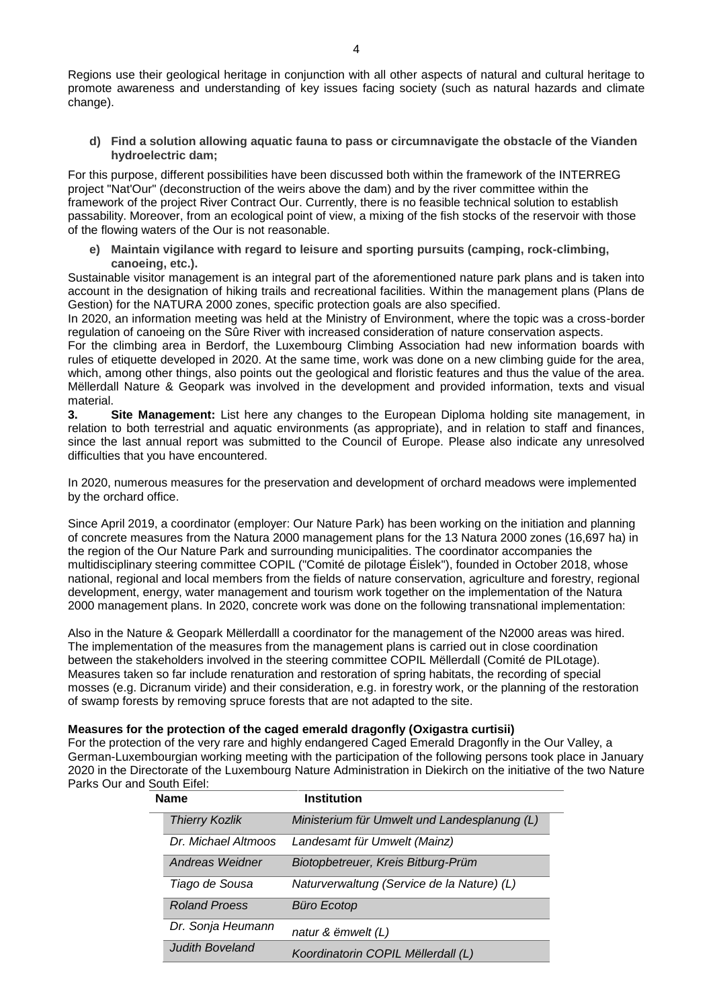Regions use their geological heritage in conjunction with all other aspects of natural and cultural heritage to promote awareness and understanding of key issues facing society (such as natural hazards and climate change).

**d) Find a solution allowing aquatic fauna to pass or circumnavigate the obstacle of the Vianden hydroelectric dam;**

For this purpose, different possibilities have been discussed both within the framework of the INTERREG project "Nat'Our" (deconstruction of the weirs above the dam) and by the river committee within the framework of the project River Contract Our. Currently, there is no feasible technical solution to establish passability. Moreover, from an ecological point of view, a mixing of the fish stocks of the reservoir with those of the flowing waters of the Our is not reasonable.

**e) Maintain vigilance with regard to leisure and sporting pursuits (camping, rock-climbing, canoeing, etc.).**

Sustainable visitor management is an integral part of the aforementioned nature park plans and is taken into account in the designation of hiking trails and recreational facilities. Within the management plans (Plans de Gestion) for the NATURA 2000 zones, specific protection goals are also specified.

In 2020, an information meeting was held at the Ministry of Environment, where the topic was a cross-border regulation of canoeing on the Sûre River with increased consideration of nature conservation aspects.

For the climbing area in Berdorf, the Luxembourg Climbing Association had new information boards with rules of etiquette developed in 2020. At the same time, work was done on a new climbing guide for the area, which, among other things, also points out the geological and floristic features and thus the value of the area. Mëllerdall Nature & Geopark was involved in the development and provided information, texts and visual material.

**3. Site Management:** List here any changes to the European Diploma holding site management, in relation to both terrestrial and aquatic environments (as appropriate), and in relation to staff and finances, since the last annual report was submitted to the Council of Europe. Please also indicate any unresolved difficulties that you have encountered.

In 2020, numerous measures for the preservation and development of orchard meadows were implemented by the orchard office.

Since April 2019, a coordinator (employer: Our Nature Park) has been working on the initiation and planning of concrete measures from the Natura 2000 management plans for the 13 Natura 2000 zones (16,697 ha) in the region of the Our Nature Park and surrounding municipalities. The coordinator accompanies the multidisciplinary steering committee COPIL ("Comité de pilotage Éislek"), founded in October 2018, whose national, regional and local members from the fields of nature conservation, agriculture and forestry, regional development, energy, water management and tourism work together on the implementation of the Natura 2000 management plans. In 2020, concrete work was done on the following transnational implementation:

Also in the Nature & Geopark Mëllerdalll a coordinator for the management of the N2000 areas was hired. The implementation of the measures from the management plans is carried out in close coordination between the stakeholders involved in the steering committee COPIL Mëllerdall (Comité de PILotage). Measures taken so far include renaturation and restoration of spring habitats, the recording of special mosses (e.g. Dicranum viride) and their consideration, e.g. in forestry work, or the planning of the restoration of swamp forests by removing spruce forests that are not adapted to the site.

#### **Measures for the protection of the caged emerald dragonfly (Oxigastra curtisii)**

For the protection of the very rare and highly endangered Caged Emerald Dragonfly in the Our Valley, a German-Luxembourgian working meeting with the participation of the following persons took place in January 2020 in the Directorate of the Luxembourg Nature Administration in Diekirch on the initiative of the two Nature Parks Our and South Eifel:

| Name |                        | <b>Institution</b>                           |  |
|------|------------------------|----------------------------------------------|--|
|      | <b>Thierry Kozlik</b>  | Ministerium für Umwelt und Landesplanung (L) |  |
|      | Dr. Michael Altmoos    | Landesamt für Umwelt (Mainz)                 |  |
|      | Andreas Weidner        | Biotopbetreuer, Kreis Bitburg-Prüm           |  |
|      | Tiago de Sousa         | Naturverwaltung (Service de la Nature) (L)   |  |
|      | <b>Roland Proess</b>   | <b>Büro Ecotop</b>                           |  |
|      | Dr. Sonja Heumann      | natur & ëmwelt (L)                           |  |
|      | <b>Judith Boveland</b> | Koordinatorin COPIL Mëllerdall (L)           |  |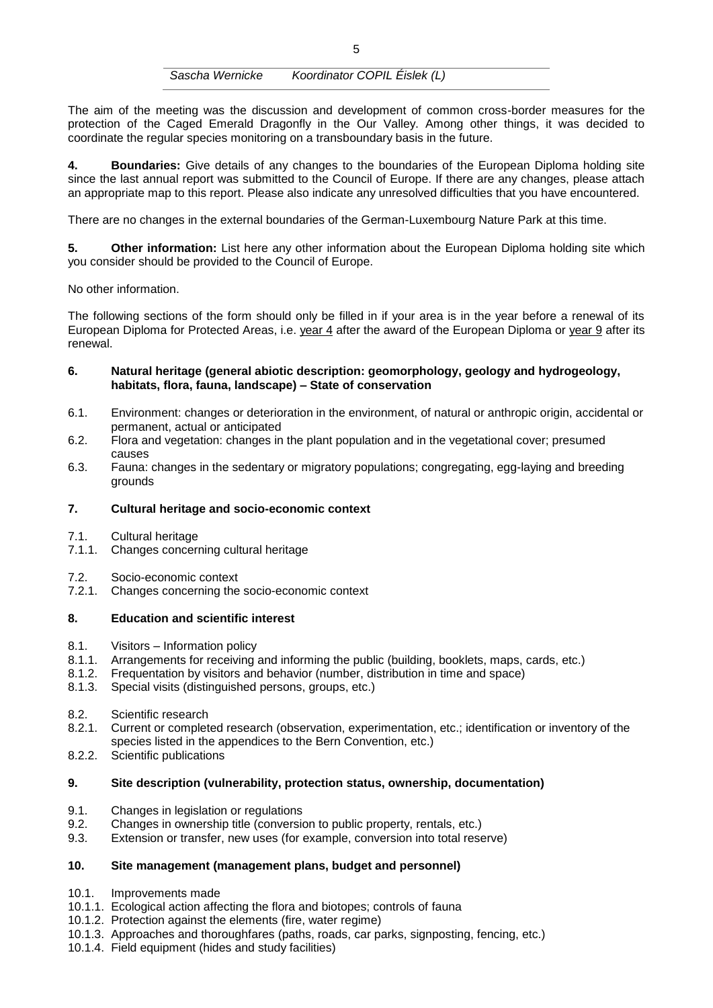# *Sascha Wernicke Koordinator COPIL Éislek (L)*

The aim of the meeting was the discussion and development of common cross-border measures for the protection of the Caged Emerald Dragonfly in the Our Valley. Among other things, it was decided to coordinate the regular species monitoring on a transboundary basis in the future.

**4. Boundaries:** Give details of any changes to the boundaries of the European Diploma holding site since the last annual report was submitted to the Council of Europe. If there are any changes, please attach an appropriate map to this report. Please also indicate any unresolved difficulties that you have encountered.

There are no changes in the external boundaries of the German-Luxembourg Nature Park at this time.

**5. Other information:** List here any other information about the European Diploma holding site which you consider should be provided to the Council of Europe.

No other information.

The following sections of the form should only be filled in if your area is in the year before a renewal of its European Diploma for Protected Areas, i.e. year 4 after the award of the European Diploma or year 9 after its renewal.

## **6. Natural heritage (general abiotic description: geomorphology, geology and hydrogeology, habitats, flora, fauna, landscape) – State of conservation**

- 6.1. Environment: changes or deterioration in the environment, of natural or anthropic origin, accidental or permanent, actual or anticipated
- 6.2. Flora and vegetation: changes in the plant population and in the vegetational cover; presumed causes
- 6.3. Fauna: changes in the sedentary or migratory populations; congregating, egg-laying and breeding grounds

# **7. Cultural heritage and socio-economic context**

- 7.1. Cultural heritage
- 7.1.1. Changes concerning cultural heritage
- 7.2. Socio-economic context
- 7.2.1. Changes concerning the socio-economic context

#### **8. Education and scientific interest**

- 8.1. Visitors Information policy
- 8.1.1. Arrangements for receiving and informing the public (building, booklets, maps, cards, etc.)
- 8.1.2. Frequentation by visitors and behavior (number, distribution in time and space)
- 8.1.3. Special visits (distinguished persons, groups, etc.)
- 8.2. Scientific research
- 8.2.1. Current or completed research (observation, experimentation, etc.; identification or inventory of the species listed in the appendices to the Bern Convention, etc.)
- 8.2.2. Scientific publications

#### **9. Site description (vulnerability, protection status, ownership, documentation)**

- 9.1. Changes in legislation or regulations
- 9.2. Changes in ownership title (conversion to public property, rentals, etc.)
- 9.3. Extension or transfer, new uses (for example, conversion into total reserve)

# **10. Site management (management plans, budget and personnel)**

- 10.1. Improvements made
- 10.1.1. Ecological action affecting the flora and biotopes; controls of fauna
- 10.1.2. Protection against the elements (fire, water regime)
- 10.1.3. Approaches and thoroughfares (paths, roads, car parks, signposting, fencing, etc.)
- 10.1.4. Field equipment (hides and study facilities)